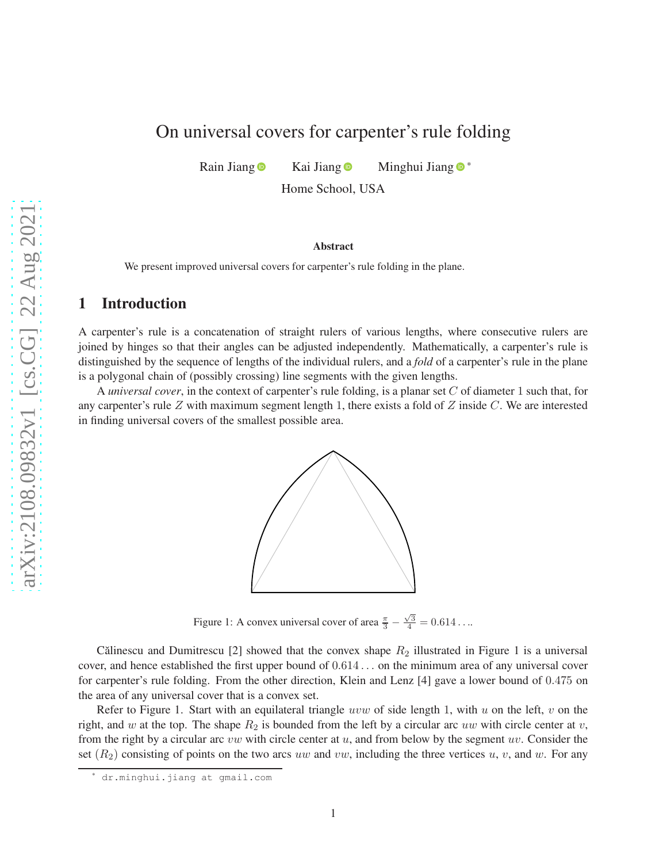# On universal covers for carpenter's rule folding

Rain Jiang  $\bullet$  Kai Jiang  $\bullet$  Minghui Jiang  $\bullet$  \*

Home School, USA

#### Abstract

We present improved universal covers for carpenter's rule folding in the plane.

#### 1 Introduction

A carpenter's rule is a concatenation of straight rulers of various lengths, where consecutive rulers are joined by hinges so that their angles can be adjusted independently. Mathematically, a carpenter's rule is distinguished by the sequence of lengths of the individual rulers, and a *fold* of a carpenter's rule in the plane is a polygonal chain of (possibly crossing) line segments with the given lengths.

<span id="page-0-0"></span>A *universal cover*, in the context of carpenter's rule folding, is a planar set C of diameter 1 such that, for any carpenter's rule Z with maximum segment length 1, there exists a fold of Z inside C. We are interested in finding universal covers of the smallest possible area.



Figure 1: A convex universal cover of area  $\frac{\pi}{3} - \frac{\sqrt{3}}{4} = 0.614...$ 

Călinescu and Dumitrescu [\[2\]](#page-10-0) showed that the convex shape  $R_2$  illustrated in Figure [1](#page-0-0) is a universal cover, and hence established the first upper bound of 0.614 . . . on the minimum area of any universal cover for carpenter's rule folding. From the other direction, Klein and Lenz [\[4\]](#page-10-1) gave a lower bound of 0.475 on the area of any universal cover that is a convex set.

Refer to Figure [1.](#page-0-0) Start with an equilateral triangle uvw of side length 1, with u on the left, v on the right, and w at the top. The shape  $R_2$  is bounded from the left by a circular arc uw with circle center at v, from the right by a circular arc  $vw$  with circle center at  $u$ , and from below by the segment  $uv$ . Consider the set  $(R_2)$  consisting of points on the two arcs uw and vw, including the three vertices u, v, and w. For any

dr.minghui.jiang at gmail.com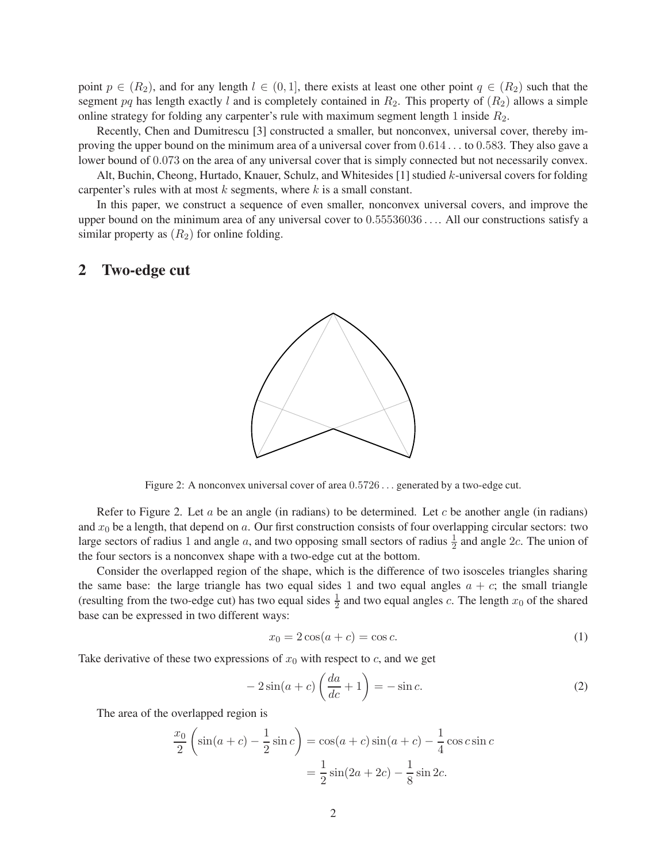point  $p \in (R_2)$ , and for any length  $l \in (0, 1]$ , there exists at least one other point  $q \in (R_2)$  such that the segment pq has length exactly l and is completely contained in  $R_2$ . This property of  $(R_2)$  allows a simple online strategy for folding any carpenter's rule with maximum segment length 1 inside  $R_2$ .

Recently, Chen and Dumitrescu [\[3\]](#page-10-2) constructed a smaller, but nonconvex, universal cover, thereby improving the upper bound on the minimum area of a universal cover from 0.614 . . . to 0.583. They also gave a lower bound of 0.073 on the area of any universal cover that is simply connected but not necessarily convex.

Alt, Buchin, Cheong, Hurtado, Knauer, Schulz, and Whitesides [\[1\]](#page-10-3) studied k-universal covers for folding carpenter's rules with at most  $k$  segments, where  $k$  is a small constant.

In this paper, we construct a sequence of even smaller, nonconvex universal covers, and improve the upper bound on the minimum area of any universal cover to 0.55536036 . . .. All our constructions satisfy a similar property as  $(R_2)$  for online folding.

#### <span id="page-1-0"></span>2 Two-edge cut



Figure 2: A nonconvex universal cover of area 0.5726 . . . generated by a two-edge cut.

Refer to Figure [2.](#page-1-0) Let a be an angle (in radians) to be determined. Let c be another angle (in radians) and  $x_0$  be a length, that depend on a. Our first construction consists of four overlapping circular sectors: two large sectors of radius 1 and angle a, and two opposing small sectors of radius  $\frac{1}{2}$  and angle 2c. The union of the four sectors is a nonconvex shape with a two-edge cut at the bottom.

Consider the overlapped region of the shape, which is the difference of two isosceles triangles sharing the same base: the large triangle has two equal sides 1 and two equal angles  $a + c$ ; the small triangle (resulting from the two-edge cut) has two equal sides  $\frac{1}{2}$  and two equal angles c. The length  $x_0$  of the shared base can be expressed in two different ways:

<span id="page-1-2"></span>
$$
x_0 = 2\cos(a+c) = \cos c. \tag{1}
$$

Take derivative of these two expressions of  $x_0$  with respect to  $c$ , and we get

<span id="page-1-1"></span>
$$
-2\sin(a+c)\left(\frac{da}{dc}+1\right) = -\sin c.
$$
 (2)

The area of the overlapped region is

$$
\frac{x_0}{2} \left( \sin(a+c) - \frac{1}{2} \sin c \right) = \cos(a+c) \sin(a+c) - \frac{1}{4} \cos c \sin c
$$

$$
= \frac{1}{2} \sin(2a+2c) - \frac{1}{8} \sin 2c.
$$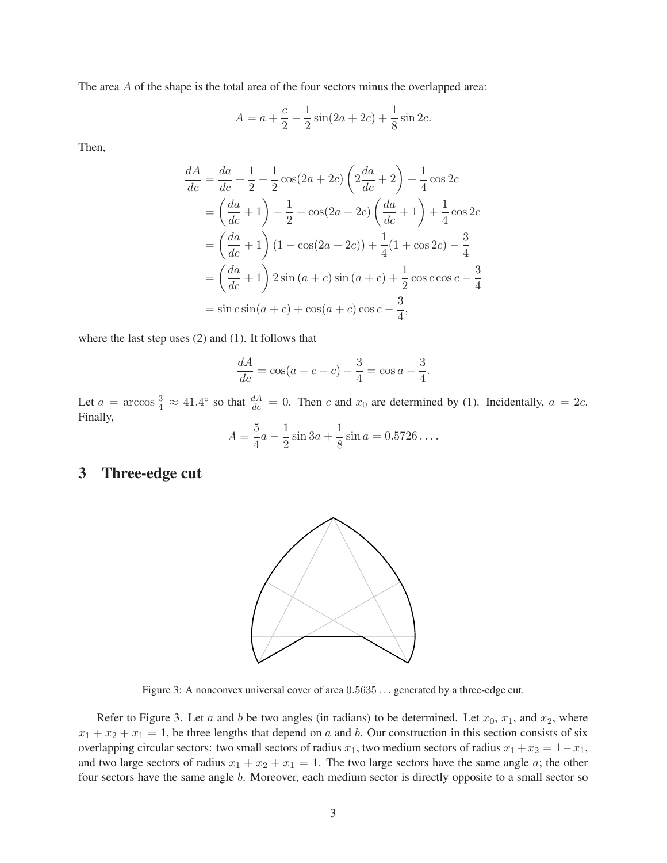The area A of the shape is the total area of the four sectors minus the overlapped area:

$$
A = a + \frac{c}{2} - \frac{1}{2}\sin(2a + 2c) + \frac{1}{8}\sin 2c.
$$

Then,

$$
\frac{dA}{dc} = \frac{da}{dc} + \frac{1}{2} - \frac{1}{2}\cos(2a + 2c)\left(2\frac{da}{dc} + 2\right) + \frac{1}{4}\cos 2c
$$
  
\n
$$
= \left(\frac{da}{dc} + 1\right) - \frac{1}{2} - \cos(2a + 2c)\left(\frac{da}{dc} + 1\right) + \frac{1}{4}\cos 2c
$$
  
\n
$$
= \left(\frac{da}{dc} + 1\right)(1 - \cos(2a + 2c)) + \frac{1}{4}(1 + \cos 2c) - \frac{3}{4}
$$
  
\n
$$
= \left(\frac{da}{dc} + 1\right)2\sin(a + c)\sin(a + c) + \frac{1}{2}\cos c\cos c - \frac{3}{4}
$$
  
\n
$$
= \sin c\sin(a + c) + \cos(a + c)\cos c - \frac{3}{4},
$$

where the last step uses [\(2\)](#page-1-1) and [\(1\)](#page-1-2). It follows that

$$
\frac{dA}{dc} = \cos(a+c-c) - \frac{3}{4} = \cos a - \frac{3}{4}.
$$

Let  $a = \arccos \frac{3}{4} \approx 41.4^{\circ}$  so that  $\frac{dA}{dc} = 0$ . Then c and  $x_0$  are determined by [\(1\)](#page-1-2). Incidentally,  $a = 2c$ . Finally,

$$
A = \frac{5}{4}a - \frac{1}{2}\sin 3a + \frac{1}{8}\sin a = 0.5726\dots.
$$

### <span id="page-2-0"></span>3 Three-edge cut



Figure 3: A nonconvex universal cover of area  $0.5635...$  generated by a three-edge cut.

Refer to Figure [3.](#page-2-0) Let a and b be two angles (in radians) to be determined. Let  $x_0$ ,  $x_1$ , and  $x_2$ , where  $x_1 + x_2 + x_1 = 1$ , be three lengths that depend on a and b. Our construction in this section consists of six overlapping circular sectors: two small sectors of radius  $x_1$ , two medium sectors of radius  $x_1+x_2 = 1-x_1$ , and two large sectors of radius  $x_1 + x_2 + x_1 = 1$ . The two large sectors have the same angle a; the other four sectors have the same angle b. Moreover, each medium sector is directly opposite to a small sector so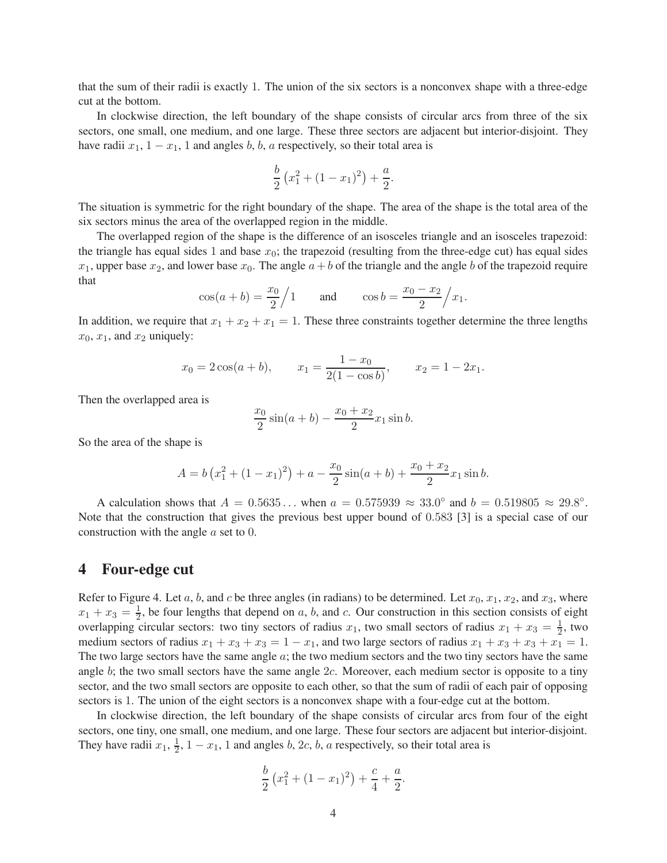that the sum of their radii is exactly 1. The union of the six sectors is a nonconvex shape with a three-edge cut at the bottom.

In clockwise direction, the left boundary of the shape consists of circular arcs from three of the six sectors, one small, one medium, and one large. These three sectors are adjacent but interior-disjoint. They have radii  $x_1$ ,  $1 - x_1$ , 1 and angles b, b, a respectively, so their total area is

$$
\frac{b}{2}\left(x_1^2 + (1-x_1)^2\right) + \frac{a}{2}.
$$

The situation is symmetric for the right boundary of the shape. The area of the shape is the total area of the six sectors minus the area of the overlapped region in the middle.

The overlapped region of the shape is the difference of an isosceles triangle and an isosceles trapezoid: the triangle has equal sides 1 and base  $x_0$ ; the trapezoid (resulting from the three-edge cut) has equal sides  $x_1$ , upper base  $x_2$ , and lower base  $x_0$ . The angle  $a+b$  of the triangle and the angle b of the trapezoid require that

$$
\cos(a+b) = \frac{x_0}{2} / 1
$$
 and  $\cos b = \frac{x_0 - x_2}{2} / x_1$ .

In addition, we require that  $x_1 + x_2 + x_1 = 1$ . These three constraints together determine the three lengths  $x_0, x_1$ , and  $x_2$  uniquely:

$$
x_0 = 2\cos(a+b),
$$
  $x_1 = \frac{1-x_0}{2(1-\cos b)},$   $x_2 = 1-2x_1.$ 

Then the overlapped area is

$$
\frac{x_0}{2}\sin(a+b) - \frac{x_0 + x_2}{2}x_1\sin b.
$$

So the area of the shape is

$$
A = b\left(x_1^2 + (1 - x_1)^2\right) + a - \frac{x_0}{2}\sin(a+b) + \frac{x_0 + x_2}{2}x_1\sin b.
$$

A calculation shows that  $A = 0.5635...$  when  $a = 0.575939 \approx 33.0^{\circ}$  and  $b = 0.519805 \approx 29.8^{\circ}$ . Note that the construction that gives the previous best upper bound of 0.583 [\[3\]](#page-10-2) is a special case of our construction with the angle a set to 0.

#### 4 Four-edge cut

Refer to Figure [4.](#page-4-0) Let a, b, and c be three angles (in radians) to be determined. Let  $x_0, x_1, x_2$ , and  $x_3$ , where  $x_1 + x_3 = \frac{1}{2}$  $\frac{1}{2}$ , be four lengths that depend on a, b, and c. Our construction in this section consists of eight overlapping circular sectors: two tiny sectors of radius  $x_1$ , two small sectors of radius  $x_1 + x_3 = \frac{1}{2}$ , two medium sectors of radius  $x_1 + x_3 + x_3 = 1 - x_1$ , and two large sectors of radius  $x_1 + x_3 + x_3 + x_1 = 1$ . The two large sectors have the same angle  $a$ ; the two medium sectors and the two tiny sectors have the same angle  $b$ ; the two small sectors have the same angle  $2c$ . Moreover, each medium sector is opposite to a tiny sector, and the two small sectors are opposite to each other, so that the sum of radii of each pair of opposing sectors is 1. The union of the eight sectors is a nonconvex shape with a four-edge cut at the bottom.

In clockwise direction, the left boundary of the shape consists of circular arcs from four of the eight sectors, one tiny, one small, one medium, and one large. These four sectors are adjacent but interior-disjoint. They have radii  $x_1, \frac{1}{2}$  $\frac{1}{2}$ , 1 –  $x_1$ , 1 and angles *b*, 2*c*, *b*, *a* respectively, so their total area is

$$
\frac{b}{2}\left(x_1^2 + (1-x_1)^2\right) + \frac{c}{4} + \frac{a}{2}.
$$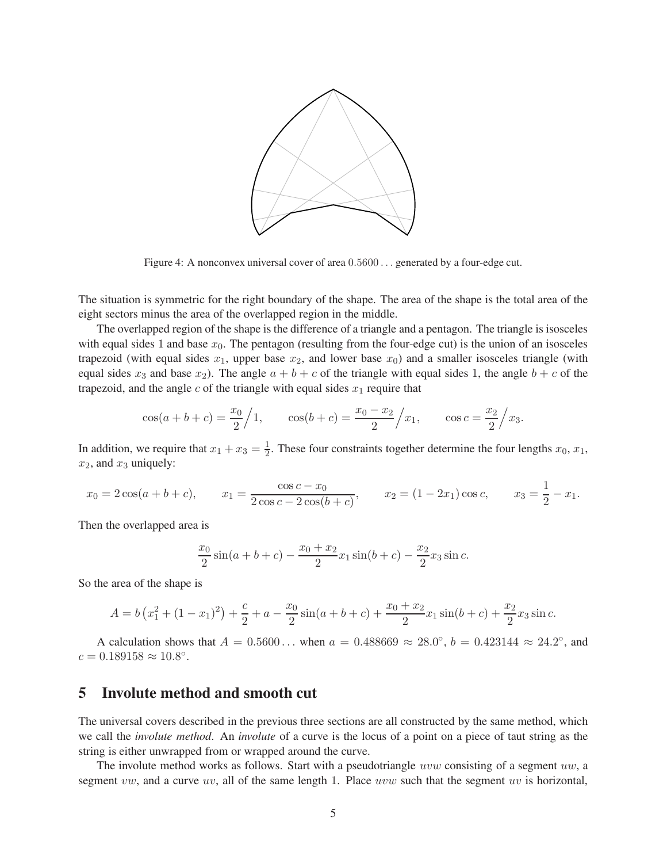<span id="page-4-0"></span>

Figure 4: A nonconvex universal cover of area  $0.5600...$  generated by a four-edge cut.

The situation is symmetric for the right boundary of the shape. The area of the shape is the total area of the eight sectors minus the area of the overlapped region in the middle.

The overlapped region of the shape is the difference of a triangle and a pentagon. The triangle is isosceles with equal sides 1 and base  $x_0$ . The pentagon (resulting from the four-edge cut) is the union of an isosceles trapezoid (with equal sides  $x_1$ , upper base  $x_2$ , and lower base  $x_0$ ) and a smaller isosceles triangle (with equal sides  $x_3$  and base  $x_2$ ). The angle  $a + b + c$  of the triangle with equal sides 1, the angle  $b + c$  of the trapezoid, and the angle c of the triangle with equal sides  $x_1$  require that

$$
cos(a+b+c) = \frac{x_0}{2} / 1,
$$
  $cos(b+c) = \frac{x_0 - x_2}{2} / x_1,$   $cos c = \frac{x_2}{2} / x_3.$ 

In addition, we require that  $x_1 + x_3 = \frac{1}{2}$  $\frac{1}{2}$ . These four constraints together determine the four lengths  $x_0, x_1$ ,  $x_2$ , and  $x_3$  uniquely:

$$
x_0 = 2\cos(a+b+c)
$$
,  $x_1 = \frac{\cos c - x_0}{2\cos c - 2\cos(b+c)}$ ,  $x_2 = (1-2x_1)\cos c$ ,  $x_3 = \frac{1}{2} - x_1$ .

Then the overlapped area is

$$
\frac{x_0}{2}\sin(a+b+c) - \frac{x_0+x_2}{2}x_1\sin(b+c) - \frac{x_2}{2}x_3\sin c.
$$

So the area of the shape is

$$
A = b\left(x_1^2 + (1 - x_1)^2\right) + \frac{c}{2} + a - \frac{x_0}{2}\sin(a + b + c) + \frac{x_0 + x_2}{2}x_1\sin(b + c) + \frac{x_2}{2}x_3\sin c.
$$

A calculation shows that  $A = 0.5600...$  when  $a = 0.488669 \approx 28.0^{\circ}, b = 0.423144 \approx 24.2^{\circ}$ , and  $c = 0.189158 \approx 10.8^{\circ}.$ 

#### 5 Involute method and smooth cut

The universal covers described in the previous three sections are all constructed by the same method, which we call the *involute method*. An *involute* of a curve is the locus of a point on a piece of taut string as the string is either unwrapped from or wrapped around the curve.

The involute method works as follows. Start with a pseudotriangle *uvw* consisting of a segment uw, a segment vw, and a curve uv, all of the same length 1. Place uvw such that the segment uv is horizontal,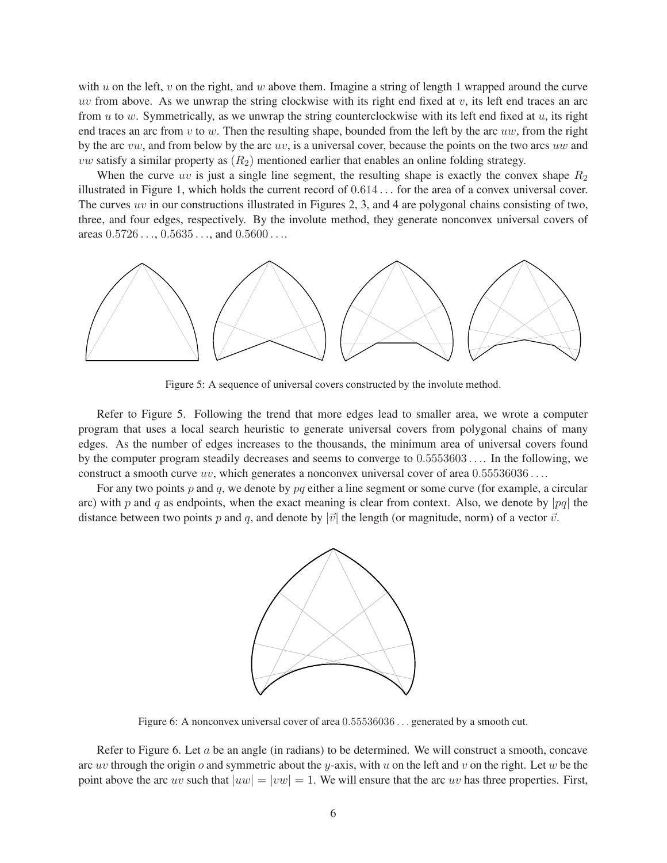with u on the left, v on the right, and w above them. Imagine a string of length 1 wrapped around the curve uv from above. As we unwrap the string clockwise with its right end fixed at  $v$ , its left end traces an arc from  $u$  to  $w$ . Symmetrically, as we unwrap the string counterclockwise with its left end fixed at  $u$ , its right end traces an arc from  $v$  to  $w$ . Then the resulting shape, bounded from the left by the arc  $uw$ , from the right by the arc  $vw$ , and from below by the arc  $uv$ , is a universal cover, because the points on the two arcs  $uw$  and *vw* satisfy a similar property as  $(R_2)$  mentioned earlier that enables an online folding strategy.

When the curve uv is just a single line segment, the resulting shape is exactly the convex shape  $R_2$ illustrated in Figure [1,](#page-0-0) which holds the current record of 0.614 . . . for the area of a convex universal cover. The curves uv in our constructions illustrated in Figures [2,](#page-1-0) [3,](#page-2-0) and [4](#page-4-0) are polygonal chains consisting of two, three, and four edges, respectively. By the involute method, they generate nonconvex universal covers of areas  $0.5726...$ ,  $0.5635...$ , and  $0.5600...$ 

<span id="page-5-0"></span>

Figure 5: A sequence of universal covers constructed by the involute method.

Refer to Figure [5.](#page-5-0) Following the trend that more edges lead to smaller area, we wrote a computer program that uses a local search heuristic to generate universal covers from polygonal chains of many edges. As the number of edges increases to the thousands, the minimum area of universal covers found by the computer program steadily decreases and seems to converge to 0.5553603 . . .. In the following, we construct a smooth curve uv, which generates a nonconvex universal cover of area  $0.55536036\dots$ .

<span id="page-5-1"></span>For any two points p and q, we denote by  $pq$  either a line segment or some curve (for example, a circular arc) with p and q as endpoints, when the exact meaning is clear from context. Also, we denote by |pq| the distance between two points p and q, and denote by  $|\vec{v}|$  the length (or magnitude, norm) of a vector  $\vec{v}$ .



Figure 6: A nonconvex universal cover of area 0.55536036 . . . generated by a smooth cut.

Refer to Figure [6.](#page-5-1) Let a be an angle (in radians) to be determined. We will construct a smooth, concave arc uv through the origin o and symmetric about the y-axis, with u on the left and v on the right. Let w be the point above the arc uv such that  $|uw| = |vw| = 1$ . We will ensure that the arc uv has three properties. First,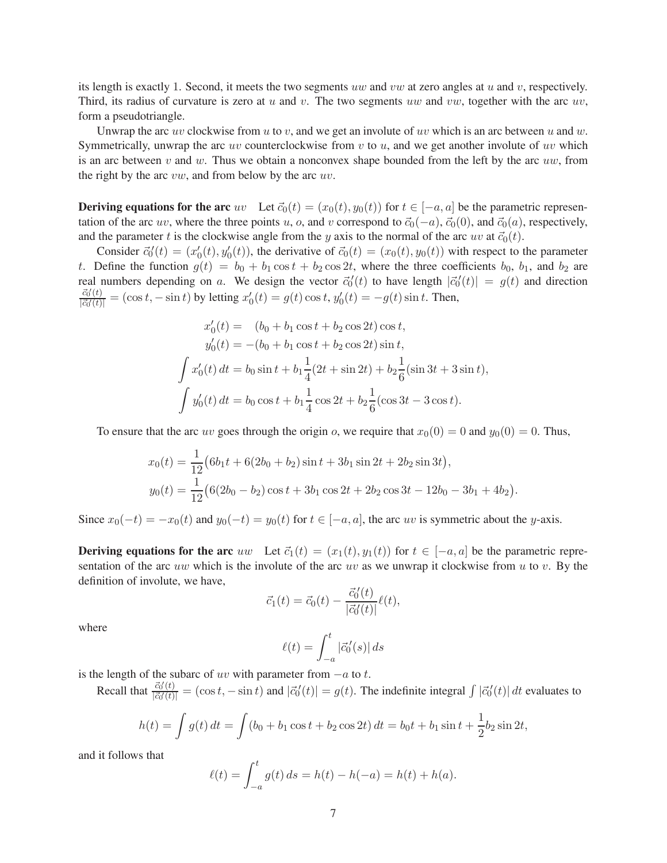its length is exactly 1. Second, it meets the two segments uw and vw at zero angles at  $u$  and  $v$ , respectively. Third, its radius of curvature is zero at  $u$  and  $v$ . The two segments  $uw$  and  $vw$ , together with the arc  $uv$ , form a pseudotriangle.

Unwrap the arc uv clockwise from u to v, and we get an involute of uv which is an arc between u and w. Symmetrically, unwrap the arc uv counterclockwise from  $v$  to  $u$ , and we get another involute of uv which is an arc between v and w. Thus we obtain a nonconvex shape bounded from the left by the arc uw, from the right by the arc  $vw$ , and from below by the arc  $uv$ .

**Deriving equations for the arc** uv Let  $\vec{c}_0(t) = (x_0(t), y_0(t))$  for  $t \in [-a, a]$  be the parametric representation of the arc uv, where the three points u, o, and v correspond to  $\vec{c}_0(-a)$ ,  $\vec{c}_0(0)$ , and  $\vec{c}_0(a)$ , respectively, and the parameter t is the clockwise angle from the y axis to the normal of the arc uv at  $\vec{c}_0(t)$ .

Consider  $\vec{c}_0'(t) = (x_0'(t), y_0'(t))$ , the derivative of  $\vec{c}_0(t) = (x_0(t), y_0(t))$  with respect to the parameter t. Define the function  $g(t) = b_0 + b_1 \cos t + b_2 \cos 2t$ , where the three coefficients  $b_0$ ,  $b_1$ , and  $b_2$  are real numbers depending on a. We design the vector  $\vec{c}_0'(t)$  to have length  $|\vec{c}_0'(t)| = g(t)$  and direction  $\vec{c}_0'(t)$  $\frac{c_0'(t)}{|\vec{c}_0'(t)|} = (\cos t, -\sin t)$  by letting  $x'_0(t) = g(t) \cos t, y'_0(t) = -g(t) \sin t$ . Then,

$$
x'_0(t) = (b_0 + b_1 \cos t + b_2 \cos 2t) \cos t,
$$
  
\n
$$
y'_0(t) = -(b_0 + b_1 \cos t + b_2 \cos 2t) \sin t,
$$
  
\n
$$
\int x'_0(t) dt = b_0 \sin t + b_1 \frac{1}{4} (2t + \sin 2t) + b_2 \frac{1}{6} (\sin 3t + 3 \sin t),
$$
  
\n
$$
\int y'_0(t) dt = b_0 \cos t + b_1 \frac{1}{4} \cos 2t + b_2 \frac{1}{6} (\cos 3t - 3 \cos t).
$$

To ensure that the arc uv goes through the origin o, we require that  $x_0(0) = 0$  and  $y_0(0) = 0$ . Thus,

$$
x_0(t) = \frac{1}{12} (6b_1t + 6(2b_0 + b_2)\sin t + 3b_1\sin 2t + 2b_2\sin 3t),
$$
  
\n
$$
y_0(t) = \frac{1}{12} (6(2b_0 - b_2)\cos t + 3b_1\cos 2t + 2b_2\cos 3t - 12b_0 - 3b_1 + 4b_2).
$$

Since  $x_0(-t) = -x_0(t)$  and  $y_0(-t) = y_0(t)$  for  $t \in [-a, a]$ , the arc uv is symmetric about the y-axis.

**Deriving equations for the arc** uw Let  $\vec{c}_1(t) = (x_1(t), y_1(t))$  for  $t \in [-a, a]$  be the parametric representation of the arc uw which is the involute of the arc uv as we unwrap it clockwise from u to v. By the definition of involute, we have,

$$
\vec{c}_1(t) = \vec{c}_0(t) - \frac{\vec{c}_0'(t)}{|\vec{c}_0'(t)|} \ell(t),
$$

where

$$
\ell(t) = \int_{-a}^{t} |\vec{c}'_0(s)| ds
$$

is the length of the subarc of uv with parameter from  $-a$  to t.

Recall that  $\frac{\vec{c}_0'(t)}{|\vec{c}_0'(t)|}$  $\frac{c_0'(t)}{|\vec{c}_0'(t)|} = (\cos t, -\sin t)$  and  $|\vec{c}_0'(t)| = g(t)$ . The indefinite integral  $\int |\vec{c}_0'(t)| dt$  evaluates to

$$
h(t) = \int g(t) dt = \int (b_0 + b_1 \cos t + b_2 \cos 2t) dt = b_0 t + b_1 \sin t + \frac{1}{2} b_2 \sin 2t,
$$

and it follows that

$$
\ell(t) = \int_{-a}^{t} g(t) ds = h(t) - h(-a) = h(t) + h(a).
$$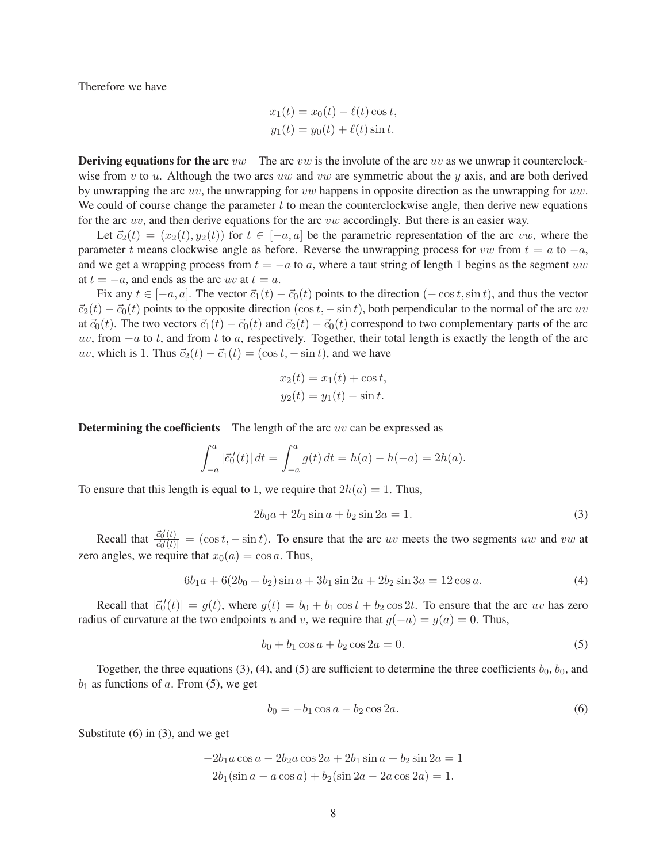Therefore we have

$$
x_1(t) = x_0(t) - \ell(t) \cos t,
$$
  

$$
y_1(t) = y_0(t) + \ell(t) \sin t.
$$

**Deriving equations for the arc** vw The arc vw is the involute of the arc uv as we unwrap it counterclockwise from v to u. Although the two arcs uw and vw are symmetric about the y axis, and are both derived by unwrapping the arc  $uv$ , the unwrapping for  $vw$  happens in opposite direction as the unwrapping for  $uw$ . We could of course change the parameter t to mean the counterclockwise angle, then derive new equations for the arc uv, and then derive equations for the arc vw accordingly. But there is an easier way.

Let  $\vec{c}_2(t) = (x_2(t), y_2(t))$  for  $t \in [-a, a]$  be the parametric representation of the arc vw, where the parameter t means clockwise angle as before. Reverse the unwrapping process for vw from  $t = a$  to  $-a$ , and we get a wrapping process from  $t = -a$  to a, where a taut string of length 1 begins as the segment uw at  $t = -a$ , and ends as the arc uv at  $t = a$ .

Fix any  $t \in [-a, a]$ . The vector  $\vec{c}_1(t) - \vec{c}_0(t)$  points to the direction  $(-\cos t, \sin t)$ , and thus the vector  $\vec{c}_2(t) - \vec{c}_0(t)$  points to the opposite direction (cos t,  $-\sin t$ ), both perpendicular to the normal of the arc uv at  $\vec{c}_0(t)$ . The two vectors  $\vec{c}_1(t) - \vec{c}_0(t)$  and  $\vec{c}_2(t) - \vec{c}_0(t)$  correspond to two complementary parts of the arc uv, from  $-a$  to t, and from t to a, respectively. Together, their total length is exactly the length of the arc uv, which is 1. Thus  $\vec{c}_2(t) - \vec{c}_1(t) = (\cos t, -\sin t)$ , and we have

$$
x_2(t) = x_1(t) + \cos t,
$$
  

$$
y_2(t) = y_1(t) - \sin t.
$$

**Determining the coefficients** The length of the arc  $uv$  can be expressed as

$$
\int_{-a}^{a} |\vec{c}'_0(t)| dt = \int_{-a}^{a} g(t) dt = h(a) - h(-a) = 2h(a).
$$

To ensure that this length is equal to 1, we require that  $2h(a) = 1$ . Thus,

<span id="page-7-0"></span>
$$
2b_0a + 2b_1\sin a + b_2\sin 2a = 1.
$$
 (3)

Recall that  $\frac{\vec{c}_0'(t)}{|\vec{c}_0'(t)|}$  $\frac{c_0(t)}{|\vec{c}_0'(t)|} = (\cos t, -\sin t)$ . To ensure that the arc uv meets the two segments uw and vw at zero angles, we require that  $x_0(a) = \cos a$ . Thus,

<span id="page-7-1"></span>
$$
6b_1a + 6(2b_0 + b_2)\sin a + 3b_1\sin 2a + 2b_2\sin 3a = 12\cos a.
$$
 (4)

Recall that  $|\vec{c}_0'(t)| = g(t)$ , where  $g(t) = b_0 + b_1 \cos t + b_2 \cos 2t$ . To ensure that the arc uv has zero radius of curvature at the two endpoints u and v, we require that  $g(-a) = g(a) = 0$ . Thus,

<span id="page-7-2"></span>
$$
b_0 + b_1 \cos a + b_2 \cos 2a = 0. \tag{5}
$$

Together, the three equations [\(3\)](#page-7-0), [\(4\)](#page-7-1), and [\(5\)](#page-7-2) are sufficient to determine the three coefficients  $b_0$ ,  $b_0$ , and  $b_1$  as functions of a. From [\(5\)](#page-7-2), we get

<span id="page-7-3"></span>
$$
b_0 = -b_1 \cos a - b_2 \cos 2a. \tag{6}
$$

Substitute [\(6\)](#page-7-3) in [\(3\)](#page-7-0), and we get

$$
-2b_1 a \cos a - 2b_2 a \cos 2a + 2b_1 \sin a + b_2 \sin 2a = 1
$$
  

$$
2b_1(\sin a - a \cos a) + b_2(\sin 2a - 2a \cos 2a) = 1.
$$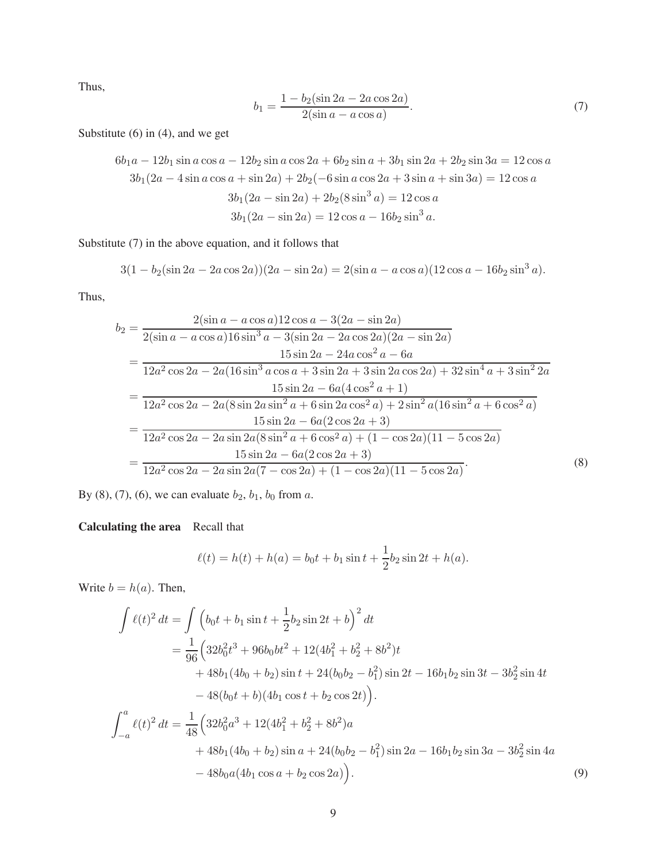Thus,

<span id="page-8-0"></span>
$$
b_1 = \frac{1 - b_2(\sin 2a - 2a \cos 2a)}{2(\sin a - a \cos a)}.
$$
\n(7)

Substitute [\(6\)](#page-7-3) in [\(4\)](#page-7-1), and we get

$$
6b_1a - 12b_1\sin a\cos a - 12b_2\sin a\cos 2a + 6b_2\sin a + 3b_1\sin 2a + 2b_2\sin 3a = 12\cos a
$$
  
\n
$$
3b_1(2a - 4\sin a\cos a + \sin 2a) + 2b_2(-6\sin a\cos 2a + 3\sin a + \sin 3a) = 12\cos a
$$
  
\n
$$
3b_1(2a - \sin 2a) + 2b_2(8\sin^3 a) = 12\cos a
$$
  
\n
$$
3b_1(2a - \sin 2a) = 12\cos a - 16b_2\sin^3 a.
$$

Substitute [\(7\)](#page-8-0) in the above equation, and it follows that

$$
3(1 - b_2(\sin 2a - 2a\cos 2a))(2a - \sin 2a) = 2(\sin a - a\cos a)(12\cos a - 16b_2\sin^3 a).
$$

Thus,

$$
b_2 = \frac{2(\sin a - a \cos a)12 \cos a - 3(2a - \sin 2a)}{2(\sin a - a \cos a)16 \sin^3 a - 3(\sin 2a - 2a \cos 2a)(2a - \sin 2a)}
$$
  
= 
$$
\frac{15 \sin 2a - 24a \cos^2 a - 6a}{12a^2 \cos 2a - 2a(16 \sin^3 a \cos a + 3 \sin 2a + 3 \sin 2a \cos 2a) + 32 \sin^4 a + 3 \sin^2 2a}
$$
  
= 
$$
\frac{15 \sin 2a - 6a(4 \cos^2 a + 1)}{12a^2 \cos 2a - 2a(8 \sin 2a \sin^2 a + 6 \sin 2a \cos^2 a) + 2 \sin^2 a(16 \sin^2 a + 6 \cos^2 a)}
$$
  
= 
$$
\frac{15 \sin 2a - 6a(2 \cos 2a + 3)}{12a^2 \cos 2a - 2a \sin 2a(8 \sin^2 a + 6 \cos^2 a) + (1 - \cos 2a)(11 - 5 \cos 2a)}
$$
  
= 
$$
\frac{15 \sin 2a - 6a(2 \cos 2a + 3)}{12a^2 \cos 2a - 2a \sin 2a(7 - \cos 2a) + (1 - \cos 2a)(11 - 5 \cos 2a)}
$$
 (8)

By [\(8\)](#page-8-1), [\(7\)](#page-8-0), [\(6\)](#page-7-3), we can evaluate  $b_2$ ,  $b_1$ ,  $b_0$  from a.

#### Calculating the area Recall that

<span id="page-8-1"></span>
$$
\ell(t) = h(t) + h(a) = b_0 t + b_1 \sin t + \frac{1}{2} b_2 \sin 2t + h(a).
$$

Write  $b = h(a)$ . Then,

$$
\int \ell(t)^2 dt = \int (b_0 t + b_1 \sin t + \frac{1}{2} b_2 \sin 2t + b)^2 dt
$$
  
\n
$$
= \frac{1}{96} \Big( 32 b_0^2 t^3 + 96 b_0 b t^2 + 12 (4 b_1^2 + b_2^2 + 8 b^2) t
$$
  
\n
$$
+ 48 b_1 (4 b_0 + b_2) \sin t + 24 (b_0 b_2 - b_1^2) \sin 2t - 16 b_1 b_2 \sin 3t - 3 b_2^2 \sin 4t
$$
  
\n
$$
- 48 (b_0 t + b) (4 b_1 \cos t + b_2 \cos 2t) \Big).
$$
  
\n
$$
\int_{-a}^{a} \ell(t)^2 dt = \frac{1}{48} \Big( 32 b_0^2 a^3 + 12 (4 b_1^2 + b_2^2 + 8 b^2) a
$$
  
\n
$$
+ 48 b_1 (4 b_0 + b_2) \sin a + 24 (b_0 b_2 - b_1^2) \sin 2a - 16 b_1 b_2 \sin 3a - 3 b_2^2 \sin 4a
$$
  
\n
$$
- 48 b_0 a (4 b_1 \cos a + b_2 \cos 2a) \Big).
$$
  
\n(9)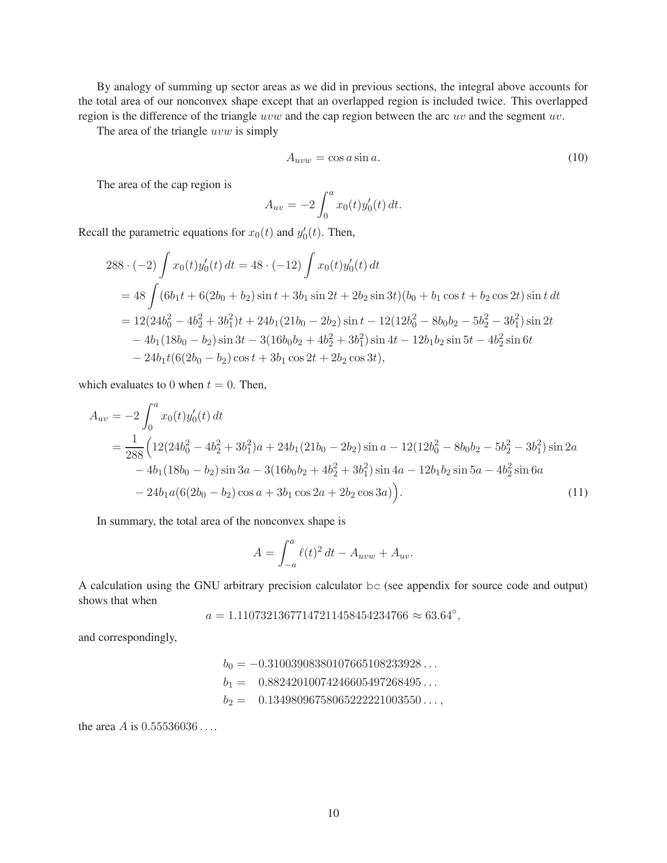By analogy of summing up sector areas as we did in previous sections, the integral above accounts for the total area of our nonconvex shape except that an overlapped region is included twice. This overlapped region is the difference of the triangle uvw and the cap region between the arc uv and the segment uv.

The area of the triangle uvw is simply

$$
A_{uvw} = \cos a \sin a. \tag{10}
$$

The area of the cap region is

$$
A_{uv} = -2 \int_0^a x_0(t) y_0'(t) dt.
$$

Recall the parametric equations for  $x_0(t)$  and  $y'_0(t)$ . Then,

$$
288 \cdot (-2) \int x_0(t)y_0'(t) dt = 48 \cdot (-12) \int x_0(t)y_0'(t) dt
$$
  
= 48 \int (6b\_1t + 6(2b\_0 + b\_2) \sin t + 3b\_1 \sin 2t + 2b\_2 \sin 3t)(b\_0 + b\_1 \cos t + b\_2 \cos 2t) \sin t dt  
= 12(24b\_0^2 - 4b\_2^2 + 3b\_1^2)t + 24b\_1(21b\_0 - 2b\_2) \sin t - 12(12b\_0^2 - 8b\_0b\_2 - 5b\_2^2 - 3b\_1^2) \sin 2t  
- 4b\_1(18b\_0 - b\_2) \sin 3t - 3(16b\_0b\_2 + 4b\_2^2 + 3b\_1^2) \sin 4t - 12b\_1b\_2 \sin 5t - 4b\_2^2 \sin 6t  
- 24b\_1t(6(2b\_0 - b\_2) \cos t + 3b\_1 \cos 2t + 2b\_2 \cos 3t),

which evaluates to 0 when  $t = 0$ . Then,

$$
A_{uv} = -2 \int_0^a x_0(t) y_0'(t) dt
$$
  
=  $\frac{1}{288} \Big( 12(24b_0^2 - 4b_2^2 + 3b_1^2)a + 24b_1(21b_0 - 2b_2) \sin a - 12(12b_0^2 - 8b_0b_2 - 5b_2^2 - 3b_1^2) \sin 2a$   
-  $4b_1(18b_0 - b_2) \sin 3a - 3(16b_0b_2 + 4b_2^2 + 3b_1^2) \sin 4a - 12b_1b_2 \sin 5a - 4b_2^2 \sin 6a$   
-  $24b_1a(6(2b_0 - b_2) \cos a + 3b_1 \cos 2a + 2b_2 \cos 3a) \Big).$  (11)

In summary, the total area of the nonconvex shape is

$$
A = \int_{-a}^{a} \ell(t)^2 dt - A_{uvw} + A_{uv}.
$$

A calculation using the GNU arbitrary precision calculator bc (see appendix for source code and output) shows that when

 $a = 1.11073213677147211458454234766 \approx 63.64^{\circ},$ 

and correspondingly,

 $b_0 = -0.31003908380107665108233928...$  $b_1 = 0.88242010074246605497268495...$  $b_2 = 0.13498096758065222221003550...$ 

the area *A* is  $0.55536036...$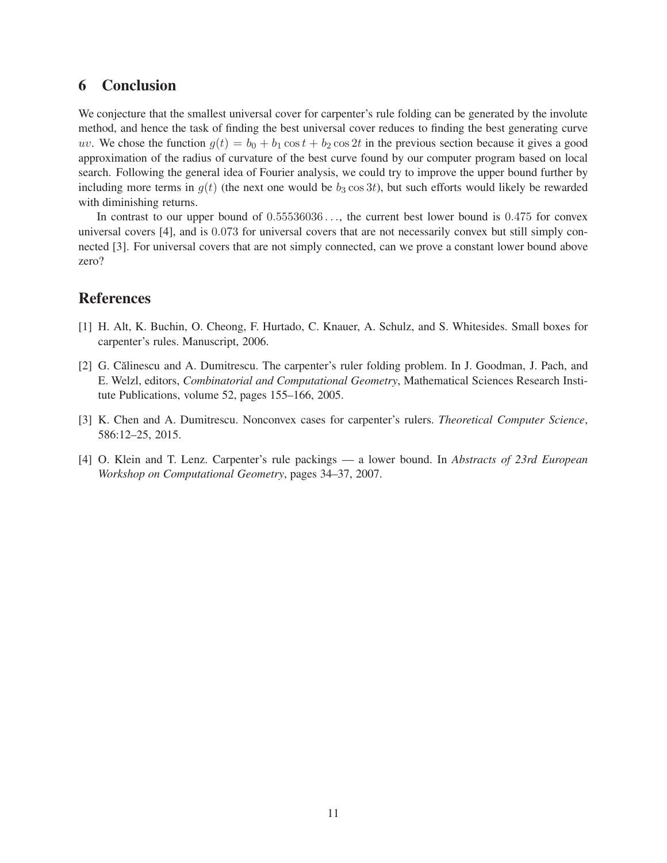#### 6 Conclusion

We conjecture that the smallest universal cover for carpenter's rule folding can be generated by the involute method, and hence the task of finding the best universal cover reduces to finding the best generating curve uv. We chose the function  $g(t) = b_0 + b_1 \cos t + b_2 \cos 2t$  in the previous section because it gives a good approximation of the radius of curvature of the best curve found by our computer program based on local search. Following the general idea of Fourier analysis, we could try to improve the upper bound further by including more terms in  $g(t)$  (the next one would be  $b_3 \cos 3t$ ), but such efforts would likely be rewarded with diminishing returns.

In contrast to our upper bound of  $0.55536036...$ , the current best lower bound is 0.475 for convex universal covers [\[4\]](#page-10-1), and is 0.073 for universal covers that are not necessarily convex but still simply connected [\[3\]](#page-10-2). For universal covers that are not simply connected, can we prove a constant lower bound above zero?

#### <span id="page-10-3"></span>References

- <span id="page-10-0"></span>[1] H. Alt, K. Buchin, O. Cheong, F. Hurtado, C. Knauer, A. Schulz, and S. Whitesides. Small boxes for carpenter's rules. Manuscript, 2006.
- [2] G. Călinescu and A. Dumitrescu. The carpenter's ruler folding problem. In J. Goodman, J. Pach, and E. Welzl, editors, *Combinatorial and Computational Geometry*, Mathematical Sciences Research Institute Publications, volume 52, pages 155–166, 2005.
- <span id="page-10-2"></span><span id="page-10-1"></span>[3] K. Chen and A. Dumitrescu. Nonconvex cases for carpenter's rulers. *Theoretical Computer Science*, 586:12–25, 2015.
- [4] O. Klein and T. Lenz. Carpenter's rule packings a lower bound. In *Abstracts of 23rd European Workshop on Computational Geometry*, pages 34–37, 2007.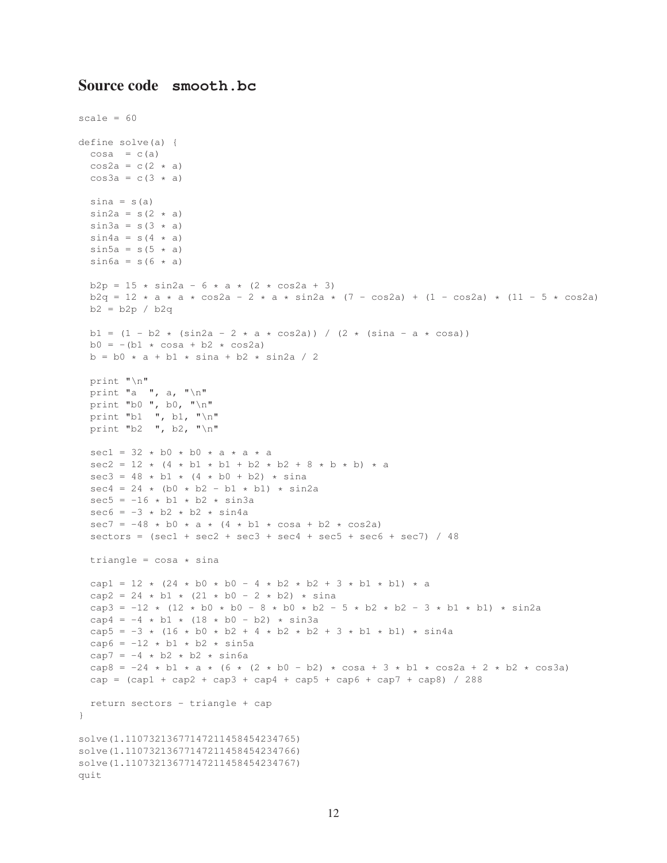#### Source code **smooth.bc**

```
scale = 60define solve(a) {
  cosa = c(a)
  cos2a = c(2 * a)cos3a = c(3 \times a)sina = s(a)\sin 2a = s(2 \star a)\sin 3a = s(3 \times a)\sin 4a = s(4 \star a)\sin 5a = s(5 \times a)\sin 6a = s(6 \times a)b2p = 15 * sin2a - 6 * a * (2 * cos2a + 3)b2q = 12 * a * a * cos2a - 2 * a * sin2a * (7 - cos2a) + (1 - cos2a) * (11 - 5 * cos2a)b2 = b2p / b2q
 b1 = (1 - b2 \times (sin2a - 2 \times a \times cos2a)) / (2 \times (sina - a \times cosa))b0 = -(b1 \times \cosh + b2 \times \cosh)b = b0 * a + b1 * sina + b2 * sin2a / 2print "\n"
  print "a ", a, " \n\rangle n"
  print "b0 ", b0, "\n"
  print "b1 ", b1, "\n"
  print "b2 ", b2, "\n"
  sec1 = 32 * b0 * b0 * a * a * asec2 = 12 * (4 * b1 * b1 + b2 * b2 + 8 * b * b) * asec3 = 48 * b1 * (4 * b0 + b2) * sinasec4 = 24 * (b0 * b2 - b1 * b1) * sin2asec5 = -16 * b1 * b2 * sin3asec6 = -3 * b2 * b2 * sin4asec7 = -48 * b0 * a * (4 * b1 * cosa + b2 * cos2a)sectors = (sec1 + sec2 + sec3 + sec4 + sec5 + sec6 + sec7) / 48
 triangle = \cos a \times \sin acap1 = 12 \times (24 \times b0 + b0 - 4 \times b2 \times b2 + 3 \times b1 \times b1) \times acap2 = 24 * b1 * (21 * b0 - 2 * b2) * sina
  cap3 = -12 \times (12 \times b0 \times b0 - 8 \times b0 \times b2 - 5 \times b2 \times b2 - 3 \times b1 \times b1) \times sin2acap4 = -4 \times b1 \times (18 \times b0 - b2) \times sin3acap5 = -3 * (16 * b0 * b2 + 4 * b2 * b2 + 3 * b1 * b1) * sin4a
  cap6 = -12 * b1 * b2 * sin5acap7 = -4 \times b2 \times b2 \times sin6acap8 = -24 * b1 * a * (6 * (2 * b0 - b2) * cosa + 3 * b1 * cos2a + 2 * b2 * cos3a)
  cap = (cap1 + cap2 + cap3 + cap4 + cap5 + cap6 + cap7 + cap8) / 288return sectors - triangle + cap
}
solve(1.11073213677147211458454234765)
solve(1.11073213677147211458454234766)
solve(1.11073213677147211458454234767)
quit
```